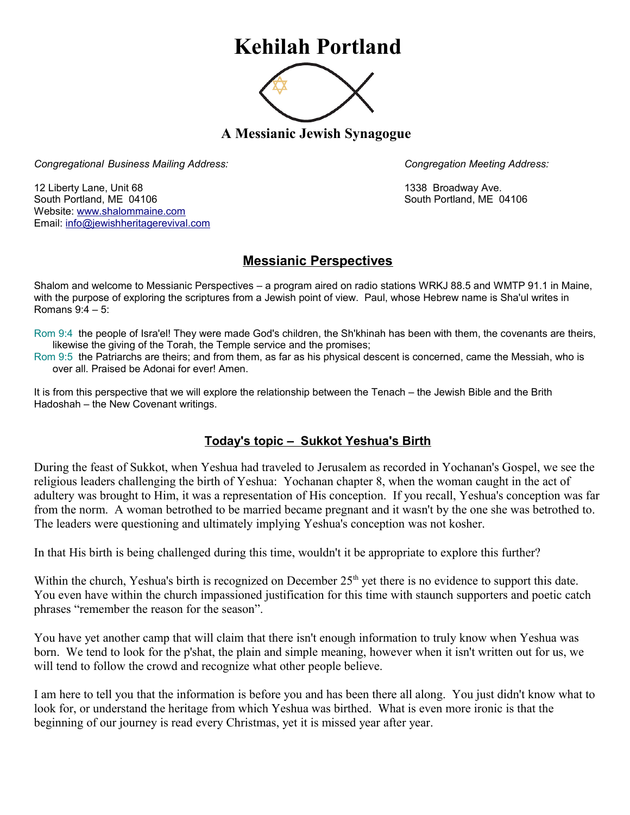## **Kehilah Portland**



**A Messianic Jewish Synagogue** 

*Congregational Business Mailing Address: Congregation Meeting Address:*

12 Liberty Lane, Unit 68 1338 Broadway Ave. South Portland, ME 04106 South Portland, ME 04106 Website: [www.shalommaine.com](http://www.shalommaine.com/) Email: [info@jewishheritagerevival.com](mailto:info@jewishheritagerevival.com) 

## **Messianic Perspectives**

Shalom and welcome to Messianic Perspectives – a program aired on radio stations WRKJ 88.5 and WMTP 91.1 in Maine, with the purpose of exploring the scriptures from a Jewish point of view. Paul, whose Hebrew name is Sha'ul writes in Romans 9:4 – 5:

Rom 9:4 the people of Isra'el! They were made God's children, the Sh'khinah has been with them, the covenants are theirs, likewise the giving of the Torah, the Temple service and the promises;

Rom 9:5 the Patriarchs are theirs; and from them, as far as his physical descent is concerned, came the Messiah, who is over all. Praised be Adonai for ever! Amen.

It is from this perspective that we will explore the relationship between the Tenach – the Jewish Bible and the Brith Hadoshah – the New Covenant writings.

## **Today's topic – Sukkot Yeshua's Birth**

During the feast of Sukkot, when Yeshua had traveled to Jerusalem as recorded in Yochanan's Gospel, we see the religious leaders challenging the birth of Yeshua: Yochanan chapter 8, when the woman caught in the act of adultery was brought to Him, it was a representation of His conception. If you recall, Yeshua's conception was far from the norm. A woman betrothed to be married became pregnant and it wasn't by the one she was betrothed to. The leaders were questioning and ultimately implying Yeshua's conception was not kosher.

In that His birth is being challenged during this time, wouldn't it be appropriate to explore this further?

Within the church, Yeshua's birth is recognized on December  $25<sup>th</sup>$  yet there is no evidence to support this date. You even have within the church impassioned justification for this time with staunch supporters and poetic catch phrases "remember the reason for the season".

You have yet another camp that will claim that there isn't enough information to truly know when Yeshua was born. We tend to look for the p'shat, the plain and simple meaning, however when it isn't written out for us, we will tend to follow the crowd and recognize what other people believe.

I am here to tell you that the information is before you and has been there all along. You just didn't know what to look for, or understand the heritage from which Yeshua was birthed. What is even more ironic is that the beginning of our journey is read every Christmas, yet it is missed year after year.